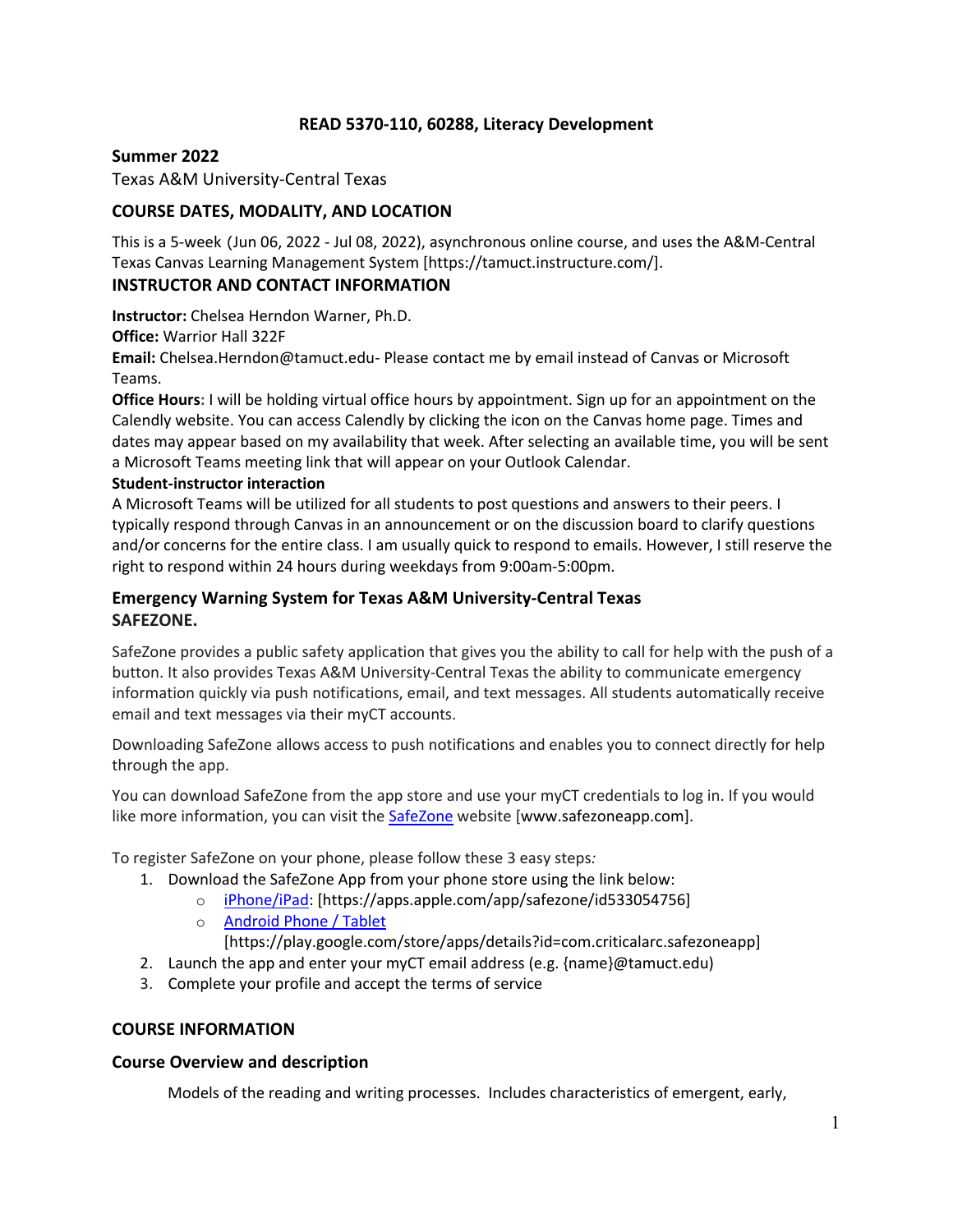## **READ 5370-110, 60288, Literacy Development**

### **Summer 2022**

Texas A&M University-Central Texas

## **COURSE DATES, MODALITY, AND LOCATION**

This is a 5-week (Jun 06, 2022 - Jul 08, 2022), asynchronous online course, and uses the A&M-Central Texas Canvas Learning Management System [https://tamuct.instructure.com/].

## **INSTRUCTOR AND CONTACT INFORMATION**

**Instructor:** Chelsea Herndon Warner, Ph.D.

**Office:** Warrior Hall 322F

**Email:** Chelsea.Herndon@tamuct.edu- Please contact me by email instead of Canvas or Microsoft Teams.

**Office Hours:** I will be holding virtual office hours by appointment. Sign up for an appointment on the Calendly website. You can access Calendly by clicking the icon on the Canvas home page. Times and dates may appear based on my availability that week. After selecting an available time, you will be sent a Microsoft Teams meeting link that will appear on your Outlook Calendar.

### **Student-instructor interaction**

A Microsoft Teams will be utilized for all students to post questions and answers to their peers. I typically respond through Canvas in an announcement or on the discussion board to clarify questions and/or concerns for the entire class. I am usually quick to respond to emails. However, I still reserve the right to respond within 24 hours during weekdays from 9:00am-5:00pm.

## **Emergency Warning System for Texas A&M University-Central Texas SAFEZONE.**

SafeZone provides a public safety application that gives you the ability to call for help with the push of a button. It also provides Texas A&M University-Central Texas the ability to communicate emergency information quickly via push notifications, email, and text messages. All students automatically receive email and text messages via their myCT accounts.

Downloading SafeZone allows access to push notifications and enables you to connect directly for help through the app.

You can download SafeZone from the app store and use your myCT credentials to log in. If you would like more information, you can visit the **SafeZone** website [www.safezoneapp.com].

To register SafeZone on your phone, please follow these 3 easy steps*:*

- 1. Download the SafeZone App from your phone store using the link below:
	- o iPhone/iPad: [https://apps.apple.com/app/safezone/id533054756]
	- o Android Phone / Tablet [https://play.google.com/store/apps/details?id=com.criticalarc.safezoneapp]
- 2. Launch the app and enter your myCT email address (e.g. {name}@tamuct.edu)
- 3. Complete your profile and accept the terms of service

### **COURSE INFORMATION**

## **Course Overview and description**

Models of the reading and writing processes. Includes characteristics of emergent, early,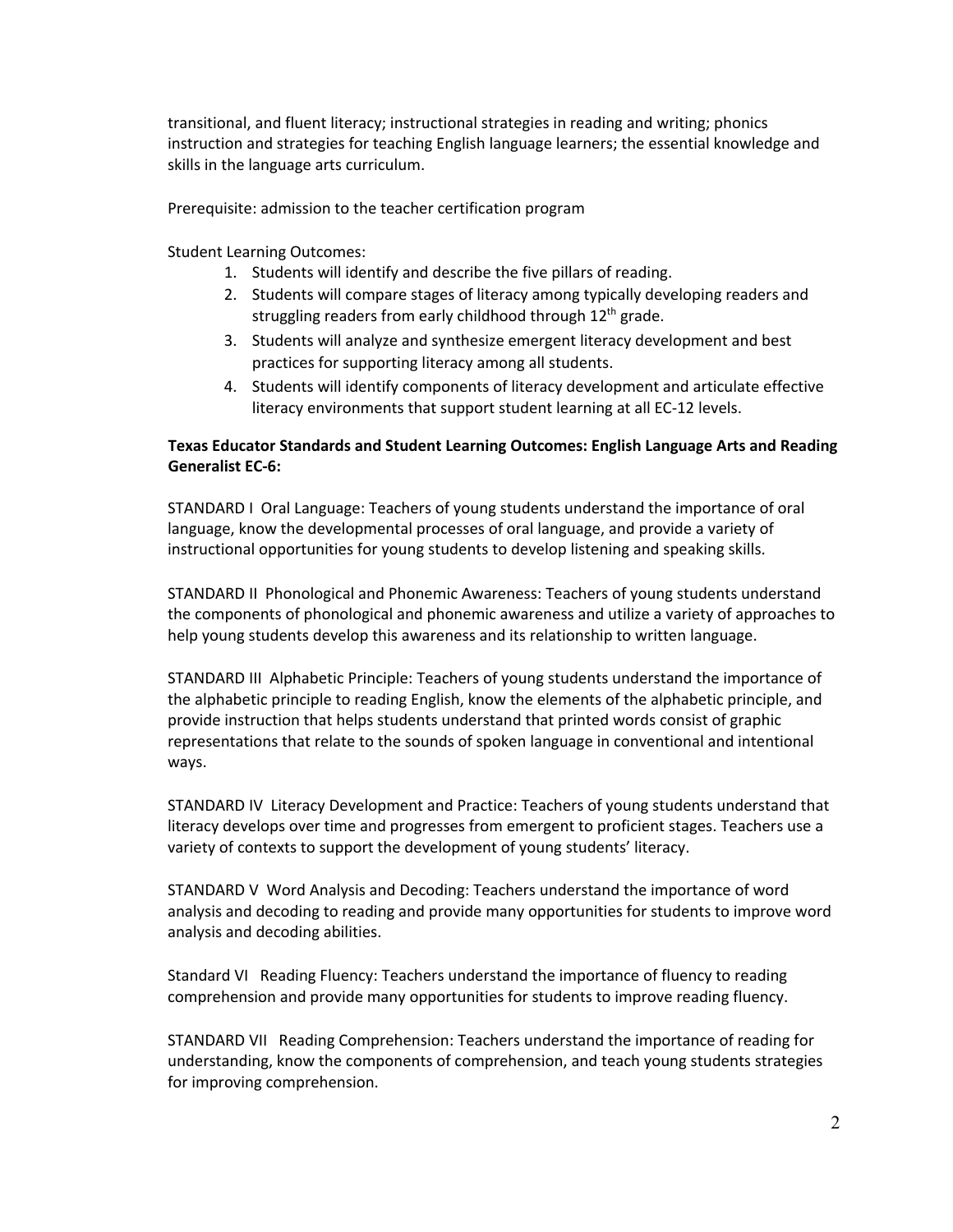transitional, and fluent literacy; instructional strategies in reading and writing; phonics instruction and strategies for teaching English language learners; the essential knowledge and skills in the language arts curriculum.

Prerequisite: admission to the teacher certification program

Student Learning Outcomes:

- 1. Students will identify and describe the five pillars of reading.
- 2. Students will compare stages of literacy among typically developing readers and struggling readers from early childhood through 12<sup>th</sup> grade.
- 3. Students will analyze and synthesize emergent literacy development and best practices for supporting literacy among all students.
- 4. Students will identify components of literacy development and articulate effective literacy environments that support student learning at all EC-12 levels.

## **Texas Educator Standards and Student Learning Outcomes: English Language Arts and Reading Generalist EC-6:**

STANDARD I Oral Language: Teachers of young students understand the importance of oral language, know the developmental processes of oral language, and provide a variety of instructional opportunities for young students to develop listening and speaking skills.

STANDARD II Phonological and Phonemic Awareness: Teachers of young students understand the components of phonological and phonemic awareness and utilize a variety of approaches to help young students develop this awareness and its relationship to written language.

STANDARD III Alphabetic Principle: Teachers of young students understand the importance of the alphabetic principle to reading English, know the elements of the alphabetic principle, and provide instruction that helps students understand that printed words consist of graphic representations that relate to the sounds of spoken language in conventional and intentional ways.

STANDARD IV Literacy Development and Practice: Teachers of young students understand that literacy develops over time and progresses from emergent to proficient stages. Teachers use a variety of contexts to support the development of young students' literacy.

STANDARD V Word Analysis and Decoding: Teachers understand the importance of word analysis and decoding to reading and provide many opportunities for students to improve word analysis and decoding abilities.

Standard VI Reading Fluency: Teachers understand the importance of fluency to reading comprehension and provide many opportunities for students to improve reading fluency.

STANDARD VII Reading Comprehension: Teachers understand the importance of reading for understanding, know the components of comprehension, and teach young students strategies for improving comprehension.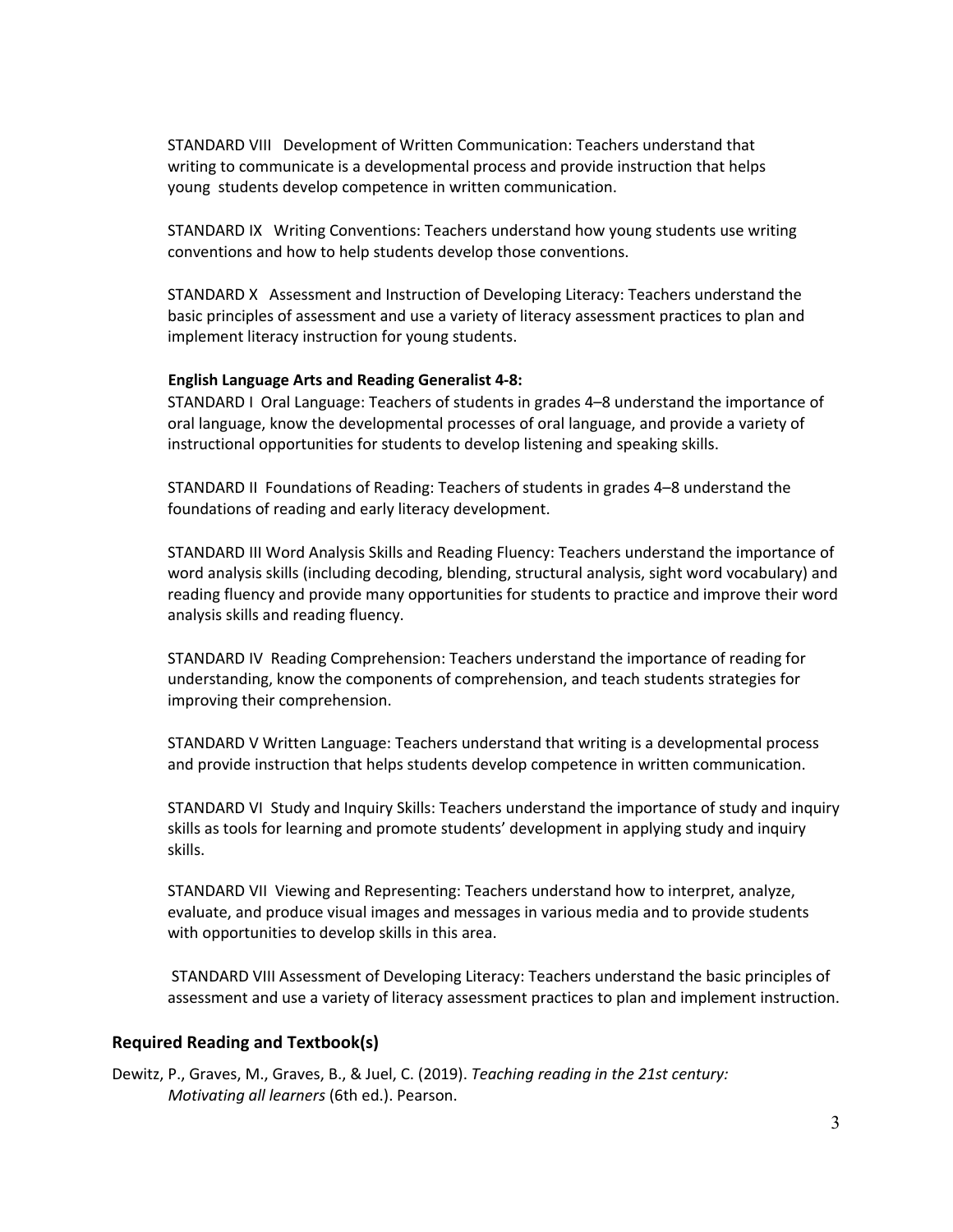STANDARD VIII Development of Written Communication: Teachers understand that writing to communicate is a developmental process and provide instruction that helps young students develop competence in written communication.

STANDARD IX Writing Conventions: Teachers understand how young students use writing conventions and how to help students develop those conventions.

STANDARD X Assessment and Instruction of Developing Literacy: Teachers understand the basic principles of assessment and use a variety of literacy assessment practices to plan and implement literacy instruction for young students.

#### **English Language Arts and Reading Generalist 4-8:**

STANDARD I Oral Language: Teachers of students in grades 4–8 understand the importance of oral language, know the developmental processes of oral language, and provide a variety of instructional opportunities for students to develop listening and speaking skills.

STANDARD II Foundations of Reading: Teachers of students in grades 4–8 understand the foundations of reading and early literacy development.

STANDARD III Word Analysis Skills and Reading Fluency: Teachers understand the importance of word analysis skills (including decoding, blending, structural analysis, sight word vocabulary) and reading fluency and provide many opportunities for students to practice and improve their word analysis skills and reading fluency.

STANDARD IV Reading Comprehension: Teachers understand the importance of reading for understanding, know the components of comprehension, and teach students strategies for improving their comprehension.

STANDARD V Written Language: Teachers understand that writing is a developmental process and provide instruction that helps students develop competence in written communication.

STANDARD VI Study and Inquiry Skills: Teachers understand the importance of study and inquiry skills as tools for learning and promote students' development in applying study and inquiry skills.

STANDARD VII Viewing and Representing: Teachers understand how to interpret, analyze, evaluate, and produce visual images and messages in various media and to provide students with opportunities to develop skills in this area.

STANDARD VIII Assessment of Developing Literacy: Teachers understand the basic principles of assessment and use a variety of literacy assessment practices to plan and implement instruction.

#### **Required Reading and Textbook(s)**

Dewitz, P., Graves, M., Graves, B., & Juel, C. (2019). *Teaching reading in the 21st century: Motivating all learners* (6th ed.). Pearson.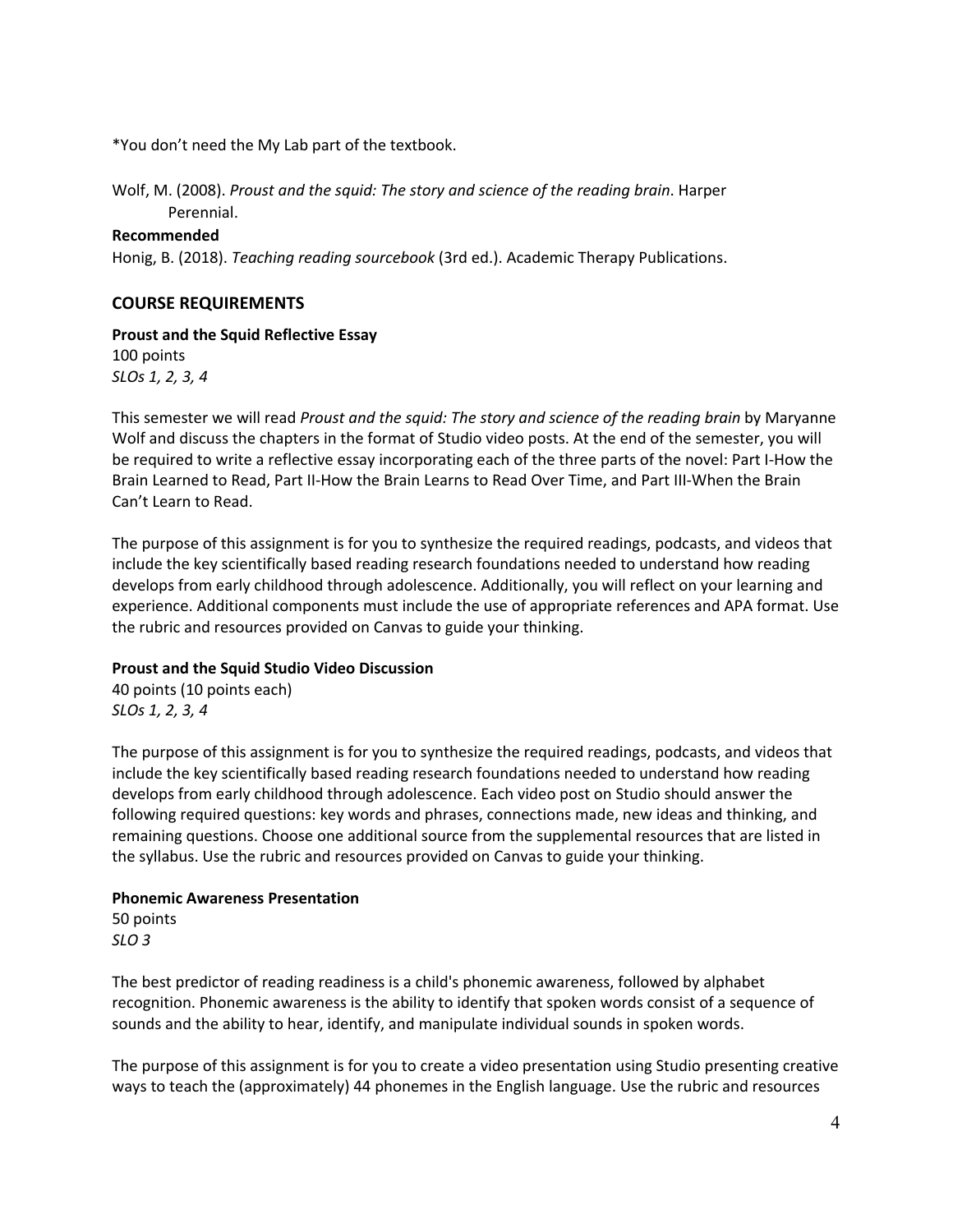\*You don't need the My Lab part of the textbook.

Wolf, M. (2008). *Proust and the squid: The story and science of the reading brain*. Harper Perennial.

#### **Recommended**

Honig, B. (2018). *Teaching reading sourcebook* (3rd ed.). Academic Therapy Publications.

## **COURSE REQUIREMENTS**

#### **Proust and the Squid Reflective Essay**

100 points *SLOs 1, 2, 3, 4* 

This semester we will read *Proust and the squid: The story and science of the reading brain* by Maryanne Wolf and discuss the chapters in the format of Studio video posts. At the end of the semester, you will be required to write a reflective essay incorporating each of the three parts of the novel: Part I-How the Brain Learned to Read, Part II-How the Brain Learns to Read Over Time, and Part III-When the Brain Can't Learn to Read.

The purpose of this assignment is for you to synthesize the required readings, podcasts, and videos that include the key scientifically based reading research foundations needed to understand how reading develops from early childhood through adolescence. Additionally, you will reflect on your learning and experience. Additional components must include the use of appropriate references and APA format. Use the rubric and resources provided on Canvas to guide your thinking.

### **Proust and the Squid Studio Video Discussion**

40 points (10 points each) *SLOs 1, 2, 3, 4* 

The purpose of this assignment is for you to synthesize the required readings, podcasts, and videos that include the key scientifically based reading research foundations needed to understand how reading develops from early childhood through adolescence. Each video post on Studio should answer the following required questions: key words and phrases, connections made, new ideas and thinking, and remaining questions. Choose one additional source from the supplemental resources that are listed in the syllabus. Use the rubric and resources provided on Canvas to guide your thinking.

#### **Phonemic Awareness Presentation**

50 points *SLO 3*

The best predictor of reading readiness is a child's phonemic awareness, followed by alphabet recognition. Phonemic awareness is the ability to identify that spoken words consist of a sequence of sounds and the ability to hear, identify, and manipulate individual sounds in spoken words.

The purpose of this assignment is for you to create a video presentation using Studio presenting creative ways to teach the (approximately) 44 phonemes in the English language. Use the rubric and resources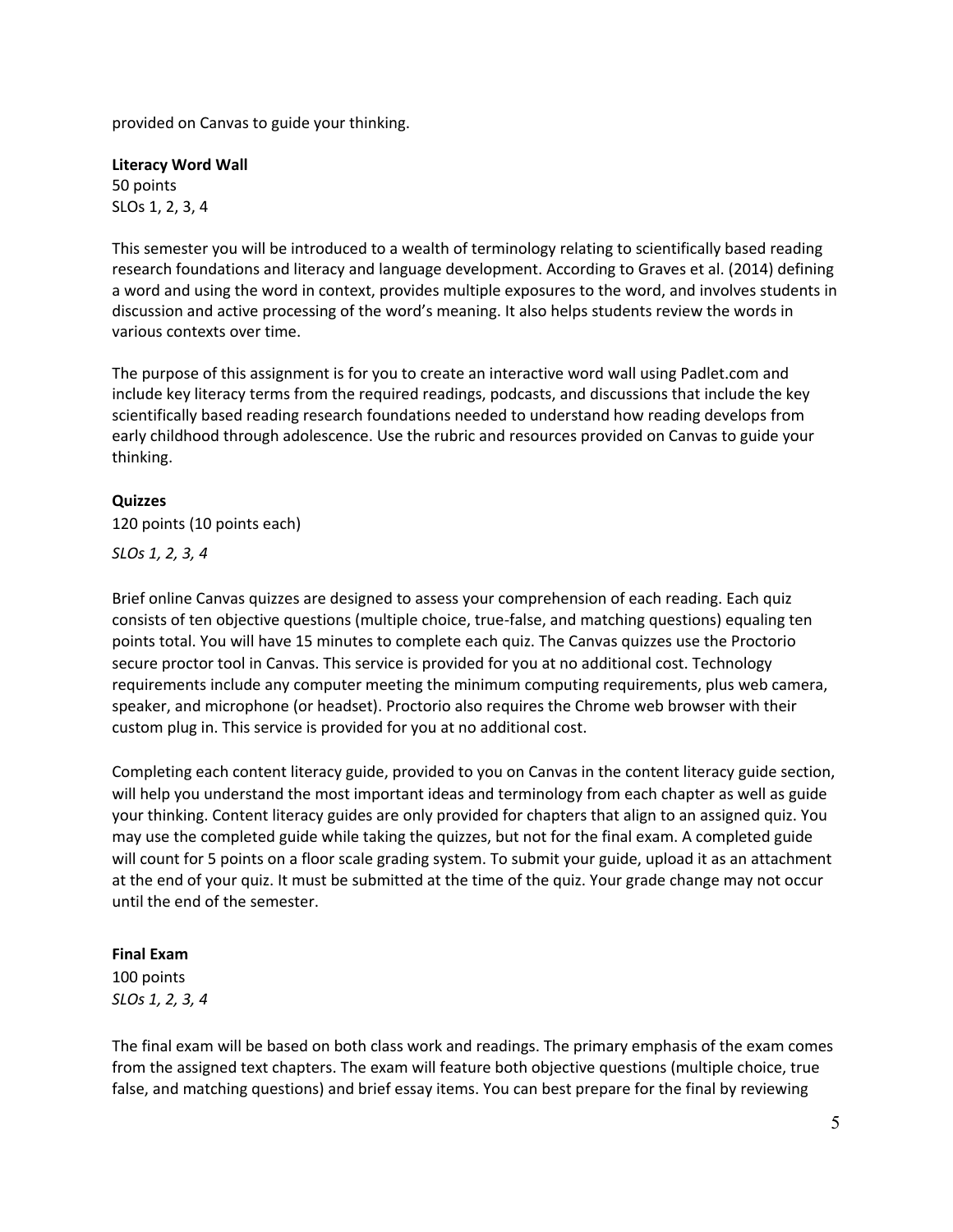provided on Canvas to guide your thinking.

**Literacy Word Wall**  50 points SLOs 1, 2, 3, 4

This semester you will be introduced to a wealth of terminology relating to scientifically based reading research foundations and literacy and language development. According to Graves et al. (2014) defining a word and using the word in context, provides multiple exposures to the word, and involves students in discussion and active processing of the word's meaning. It also helps students review the words in various contexts over time.

The purpose of this assignment is for you to create an interactive word wall using Padlet.com and include key literacy terms from the required readings, podcasts, and discussions that include the key scientifically based reading research foundations needed to understand how reading develops from early childhood through adolescence. Use the rubric and resources provided on Canvas to guide your thinking.

### **Quizzes**

120 points (10 points each)

*SLOs 1, 2, 3, 4* 

Brief online Canvas quizzes are designed to assess your comprehension of each reading. Each quiz consists of ten objective questions (multiple choice, true-false, and matching questions) equaling ten points total. You will have 15 minutes to complete each quiz. The Canvas quizzes use the Proctorio secure proctor tool in Canvas. This service is provided for you at no additional cost. Technology requirements include any computer meeting the minimum computing requirements, plus web camera, speaker, and microphone (or headset). Proctorio also requires the Chrome web browser with their custom plug in. This service is provided for you at no additional cost.

Completing each content literacy guide, provided to you on Canvas in the content literacy guide section, will help you understand the most important ideas and terminology from each chapter as well as guide your thinking. Content literacy guides are only provided for chapters that align to an assigned quiz. You may use the completed guide while taking the quizzes, but not for the final exam. A completed guide will count for 5 points on a floor scale grading system. To submit your guide, upload it as an attachment at the end of your quiz. It must be submitted at the time of the quiz. Your grade change may not occur until the end of the semester.

#### **Final Exam**

100 points *SLOs 1, 2, 3, 4* 

The final exam will be based on both class work and readings. The primary emphasis of the exam comes from the assigned text chapters. The exam will feature both objective questions (multiple choice, true false, and matching questions) and brief essay items. You can best prepare for the final by reviewing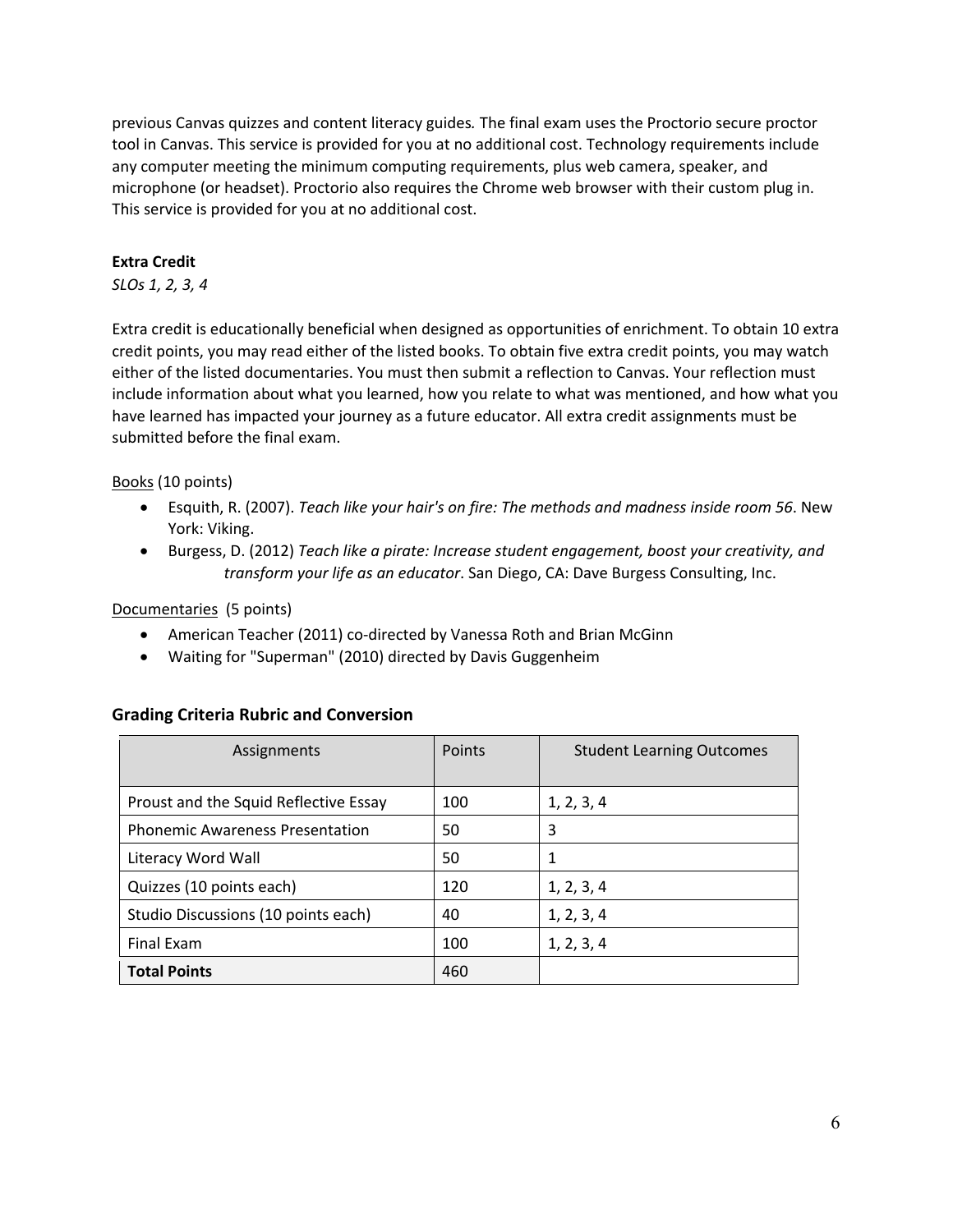previous Canvas quizzes and content literacy guides*.* The final exam uses the Proctorio secure proctor tool in Canvas. This service is provided for you at no additional cost. Technology requirements include any computer meeting the minimum computing requirements, plus web camera, speaker, and microphone (or headset). Proctorio also requires the Chrome web browser with their custom plug in. This service is provided for you at no additional cost.

## **Extra Credit**

## *SLOs 1, 2, 3, 4*

Extra credit is educationally beneficial when designed as opportunities of enrichment. To obtain 10 extra credit points, you may read either of the listed books. To obtain five extra credit points, you may watch either of the listed documentaries. You must then submit a reflection to Canvas. Your reflection must include information about what you learned, how you relate to what was mentioned, and how what you have learned has impacted your journey as a future educator. All extra credit assignments must be submitted before the final exam.

Books (10 points)

- Esquith, R. (2007). *Teach like your hair's on fire: The methods and madness inside room 56*. New York: Viking.
- Burgess, D. (2012) *Teach like a pirate: Increase student engagement, boost your creativity, and transform your life as an educator*. San Diego, CA: Dave Burgess Consulting, Inc.

Documentaries (5 points)

- American Teacher (2011) co-directed by Vanessa Roth and Brian McGinn
- Waiting for "Superman" (2010) directed by Davis Guggenheim

### **Grading Criteria Rubric and Conversion**

| Assignments                            | Points | <b>Student Learning Outcomes</b> |  |
|----------------------------------------|--------|----------------------------------|--|
|                                        |        |                                  |  |
| Proust and the Squid Reflective Essay  | 100    | 1, 2, 3, 4                       |  |
| <b>Phonemic Awareness Presentation</b> | 50     | 3                                |  |
| Literacy Word Wall                     | 50     |                                  |  |
| Quizzes (10 points each)               | 120    | 1, 2, 3, 4                       |  |
| Studio Discussions (10 points each)    | 40     | 1, 2, 3, 4                       |  |
| Final Exam                             | 100    | 1, 2, 3, 4                       |  |
| <b>Total Points</b>                    | 460    |                                  |  |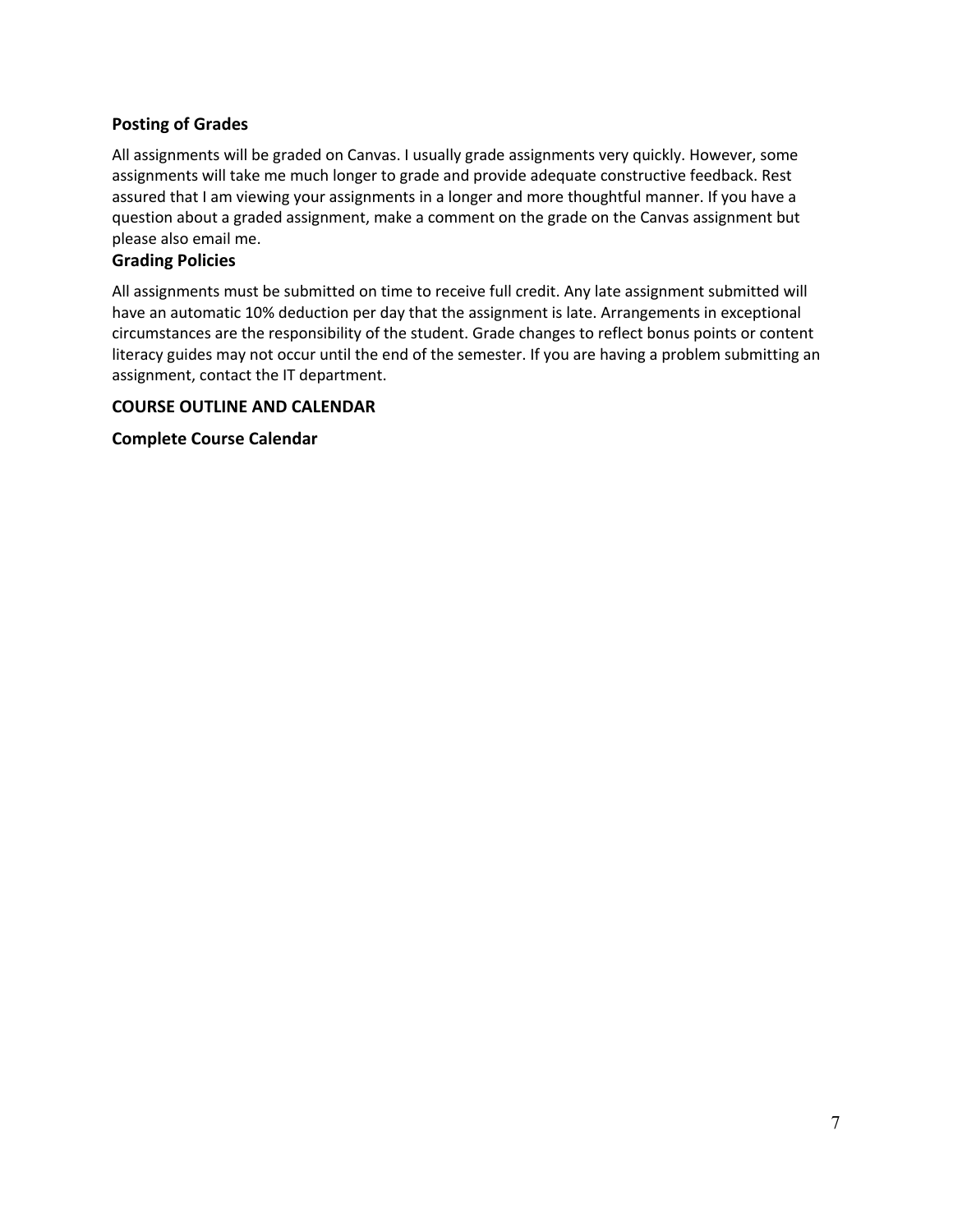## **Posting of Grades**

All assignments will be graded on Canvas. I usually grade assignments very quickly. However, some assignments will take me much longer to grade and provide adequate constructive feedback. Rest assured that I am viewing your assignments in a longer and more thoughtful manner. If you have a question about a graded assignment, make a comment on the grade on the Canvas assignment but please also email me.

## **Grading Policies**

All assignments must be submitted on time to receive full credit. Any late assignment submitted will have an automatic 10% deduction per day that the assignment is late. Arrangements in exceptional circumstances are the responsibility of the student. Grade changes to reflect bonus points or content literacy guides may not occur until the end of the semester. If you are having a problem submitting an assignment, contact the IT department.

#### **COURSE OUTLINE AND CALENDAR**

**Complete Course Calendar**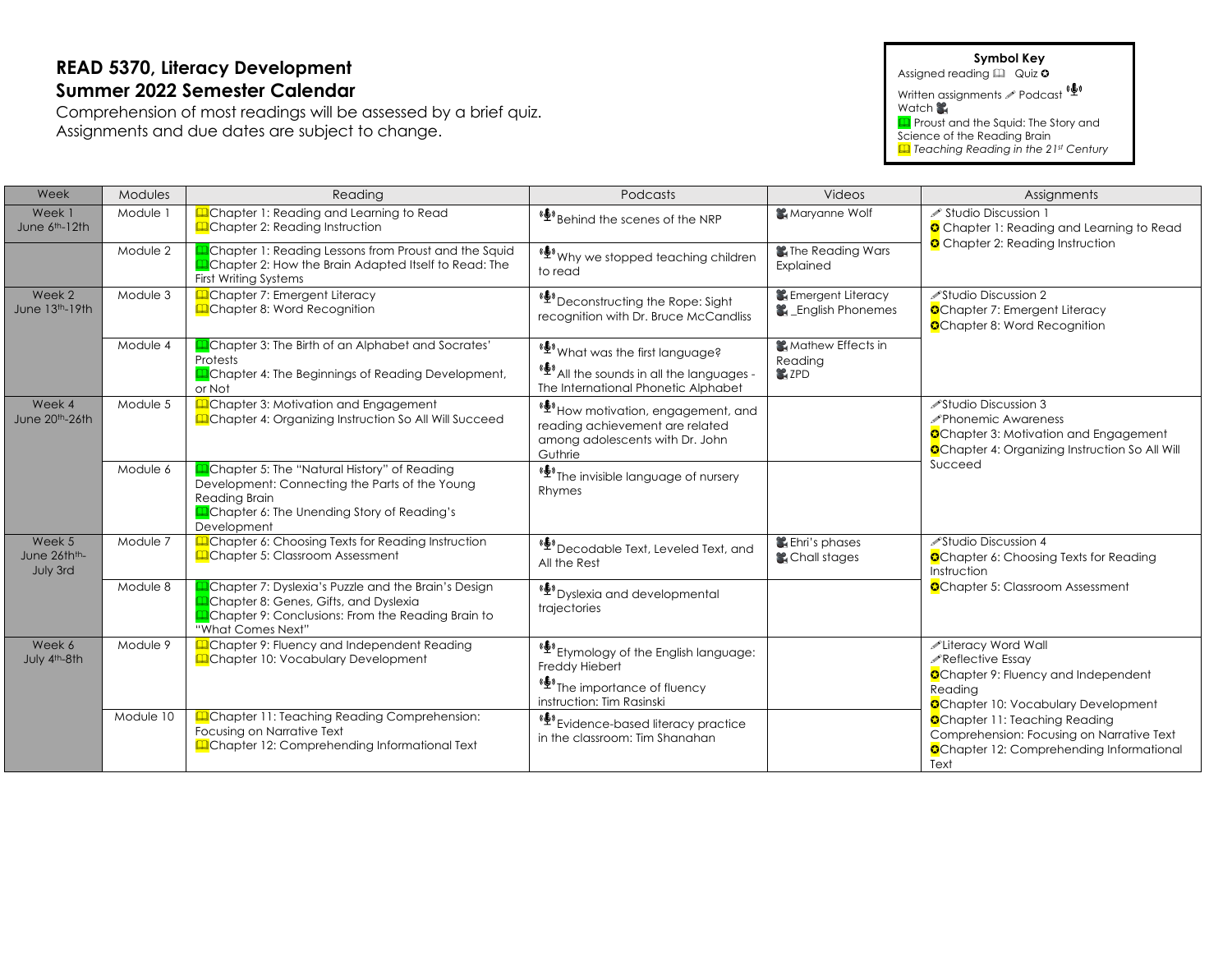# **READ 5370, Literacy Development Summer 2022 Semester Calendar**

Comprehension of most readings will be assessed by a brief quiz. Assignments and due dates are subject to change.

#### **Symbol Key**

Assigned reading  $\boxplus$  Quiz 0

Written assignments **/** Podcast Watch **S** 

**Q** Proust and the Squid: The Story and Science of the Reading Brain

& *Teaching Reading in the 21st Century*

| Week                                            | Modules                                                                                                                                                                                       | Reading                                                                                                                                                                         | Podcasts                                                                                                                                                                               | Videos                                                    | Assignments                                                                                                                                                 |  |
|-------------------------------------------------|-----------------------------------------------------------------------------------------------------------------------------------------------------------------------------------------------|---------------------------------------------------------------------------------------------------------------------------------------------------------------------------------|----------------------------------------------------------------------------------------------------------------------------------------------------------------------------------------|-----------------------------------------------------------|-------------------------------------------------------------------------------------------------------------------------------------------------------------|--|
| Week 1<br>June 6th-12th                         | Module 1                                                                                                                                                                                      | <b>Example 1: Reading and Learning to Read</b><br><b>Q</b> Chapter 2: Reading Instruction                                                                                       | <sup>(6)</sup> Behind the scenes of the NRP                                                                                                                                            | Maryanne Wolf                                             | ∕ Studio Discussion 1<br>Chapter 1: Reading and Learning to Read<br>Chapter 2: Reading Instruction                                                          |  |
|                                                 | Module 2                                                                                                                                                                                      | Chapter 1: Reading Lessons from Proust and the Squid<br><b>Q</b> Chapter 2: How the Brain Adapted Itself to Read: The<br><b>First Writing Systems</b>                           | <sup>(臺)</sup> Why we stopped teaching children<br>to read                                                                                                                             | The Reading Wars<br>Explained                             |                                                                                                                                                             |  |
| Week 2<br>June 13th-19th                        | Module 3                                                                                                                                                                                      | Chapter 7: Emergent Literacy<br><b>Q</b> Chapter 8: Word Recognition                                                                                                            | «Let Deconstructing the Rope: Sight<br>recognition with Dr. Bruce McCandliss                                                                                                           | <b>Let Emergent Literacy</b><br><b>L</b> English Phonemes | <b>∕Studio Discussion 2</b><br><b>O</b> Chapter 7: Emergent Literacy<br><b>O</b> Chapter 8: Word Recognition                                                |  |
|                                                 | Module 4                                                                                                                                                                                      | Chapter 3: The Birth of an Alphabet and Socrates'<br>Protests<br><b>La</b> Chapter 4: The Beginnings of Reading Development,<br>or Not                                          | <sup>《</sup> What was the first language?<br><sup>(<math>\stackrel{\bullet}{\blacktriangle}</math>) All the sounds in all the languages -</sup><br>The International Phonetic Alphabet | <b>Mathew Effects in</b><br>Reading<br><b>L</b> ZPD       |                                                                                                                                                             |  |
| Week 4<br>June 20th-26th                        | Module 5                                                                                                                                                                                      | Chapter 3: Motivation and Engagement<br>Chapter 4: Organizing Instruction So All Will Succeed                                                                                   | (少) How motivation, engagement, and<br>reading achievement are related<br>among adolescents with Dr. John<br>Guthrie                                                                   |                                                           | <b>∕Studio Discussion 3</b><br><b>∕Phonemic Awareness</b><br>Chapter 3: Motivation and Engagement<br><b>O</b> Chapter 4: Organizing Instruction So All Will |  |
| Module 6                                        | <b>A</b> Chapter 5: The "Natural History" of Reading<br>Development: Connecting the Parts of the Young<br>Reading Brain<br><b>Q</b> Chapter 6: The Unending Story of Reading's<br>Development | « <a> **<br/> **<br/> **<br/> The invisible language of nursery<br/> <math display="inline">% \mathcal{L}_{\mathcal{A}}</math><br/>Rhymes</a>                                   |                                                                                                                                                                                        | Succeed                                                   |                                                                                                                                                             |  |
| Week 5<br>June 26th <sup>th</sup> -<br>July 3rd | Module 7                                                                                                                                                                                      | <b>Example 12</b> Chapter 6: Choosing Texts for Reading Instruction<br><b>Q</b> Chapter 5: Classroom Assessment                                                                 | ( <sup>6</sup> ) Decodable Text, Leveled Text, and<br>All the Rest                                                                                                                     | Lehri's phases<br><b>L</b> Chall stages                   | <b>∕Studio Discussion 4</b><br><b>C</b> Chapter 6: Choosing Texts for Reading<br>Instruction                                                                |  |
|                                                 | Module 8                                                                                                                                                                                      | Chapter 7: Dyslexia's Puzzle and the Brain's Design<br>Chapter 8: Genes, Gifts, and Dyslexia<br><b>Q</b> Chapter 9: Conclusions: From the Reading Brain to<br>"What Comes Next" | «Š» Dyslexia and developmental<br>trajectories                                                                                                                                         |                                                           | <b>O</b> Chapter 5: Classroom Assessment                                                                                                                    |  |
| Week 6<br>July 4th-8th                          | Module 9                                                                                                                                                                                      | <b>Q</b> Chapter 9: Fluency and Independent Reading<br><b>Q</b> Chapter 10: Vocabulary Development                                                                              | (リ) Etymology of the English language:<br>Freddy Hiebert<br>« <sup>6</sup> The importance of fluency<br>instruction: Tim Rasinski                                                      |                                                           | Literacy Word Wall<br>Reflective Essay<br>Chapter 9: Fluency and Independent<br>Reading<br><b>C</b> Chapter 10: Vocabulary Development                      |  |
|                                                 | Module 10                                                                                                                                                                                     | <b>Example 11: Teaching Reading Comprehension:</b><br>Focusing on Narrative Text<br>Chapter 12: Comprehending Informational Text                                                | (少) Evidence-based literacy practice<br>in the classroom: Tim Shanahan                                                                                                                 |                                                           | <b>C</b> Chapter 11: Teaching Reading<br>Comprehension: Focusing on Narrative Text<br><b>O</b> Chapter 12: Comprehending Informational<br>Text              |  |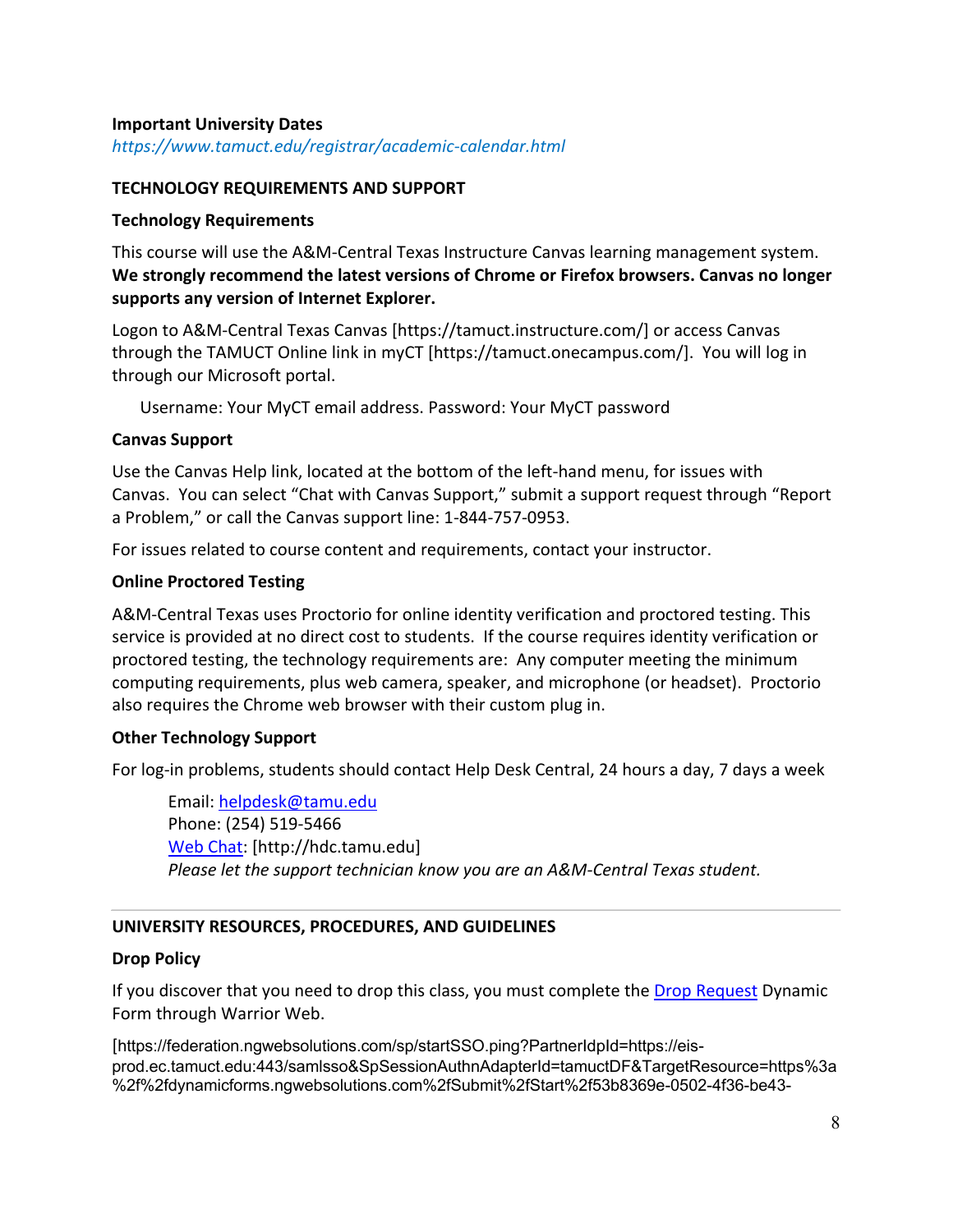## **Important University Dates**

*https://www.tamuct.edu/registrar/academic-calendar.html*

## **TECHNOLOGY REQUIREMENTS AND SUPPORT**

## **Technology Requirements**

This course will use the A&M-Central Texas Instructure Canvas learning management system. **We strongly recommend the latest versions of Chrome or Firefox browsers. Canvas no longer supports any version of Internet Explorer.**

Logon to A&M-Central Texas Canvas [https://tamuct.instructure.com/] or access Canvas through the TAMUCT Online link in myCT [https://tamuct.onecampus.com/]. You will log in through our Microsoft portal.

Username: Your MyCT email address. Password: Your MyCT password

## **Canvas Support**

Use the Canvas Help link, located at the bottom of the left-hand menu, for issues with Canvas. You can select "Chat with Canvas Support," submit a support request through "Report a Problem," or call the Canvas support line: 1-844-757-0953.

For issues related to course content and requirements, contact your instructor.

## **Online Proctored Testing**

A&M-Central Texas uses Proctorio for online identity verification and proctored testing. This service is provided at no direct cost to students. If the course requires identity verification or proctored testing, the technology requirements are: Any computer meeting the minimum computing requirements, plus web camera, speaker, and microphone (or headset). Proctorio also requires the Chrome web browser with their custom plug in.

## **Other Technology Support**

For log-in problems, students should contact Help Desk Central, 24 hours a day, 7 days a week

Email: helpdesk@tamu.edu Phone: (254) 519-5466 Web Chat: [http://hdc.tamu.edu] *Please let the support technician know you are an A&M-Central Texas student.*

## **UNIVERSITY RESOURCES, PROCEDURES, AND GUIDELINES**

### **Drop Policy**

If you discover that you need to drop this class, you must complete the Drop Request Dynamic Form through Warrior Web.

[https://federation.ngwebsolutions.com/sp/startSSO.ping?PartnerIdpId=https://eisprod.ec.tamuct.edu:443/samlsso&SpSessionAuthnAdapterId=tamuctDF&TargetResource=https%3a %2f%2fdynamicforms.ngwebsolutions.com%2fSubmit%2fStart%2f53b8369e-0502-4f36-be43-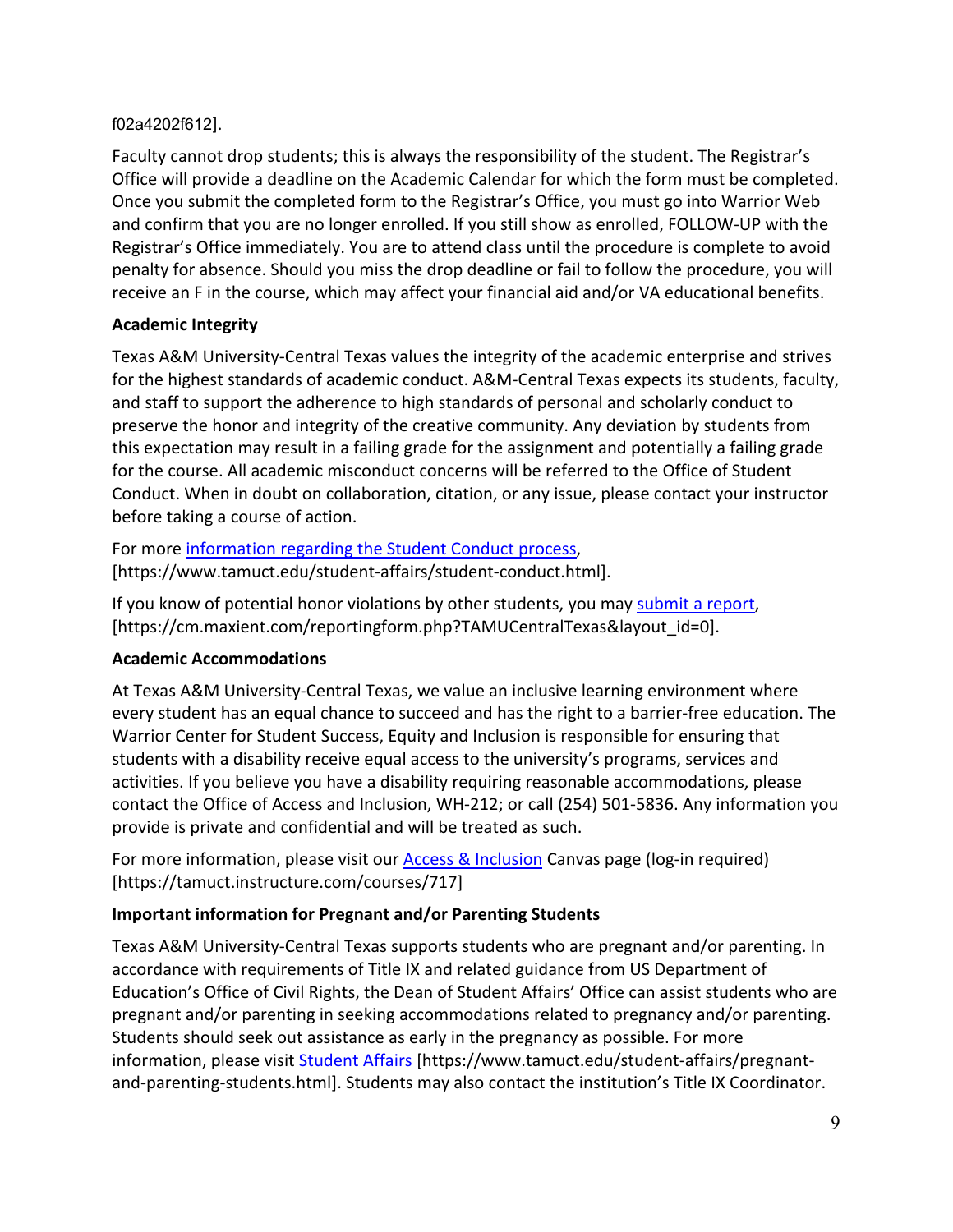## f02a4202f612].

Faculty cannot drop students; this is always the responsibility of the student. The Registrar's Office will provide a deadline on the Academic Calendar for which the form must be completed. Once you submit the completed form to the Registrar's Office, you must go into Warrior Web and confirm that you are no longer enrolled. If you still show as enrolled, FOLLOW-UP with the Registrar's Office immediately. You are to attend class until the procedure is complete to avoid penalty for absence. Should you miss the drop deadline or fail to follow the procedure, you will receive an F in the course, which may affect your financial aid and/or VA educational benefits.

# **Academic Integrity**

Texas A&M University-Central Texas values the integrity of the academic enterprise and strives for the highest standards of academic conduct. A&M-Central Texas expects its students, faculty, and staff to support the adherence to high standards of personal and scholarly conduct to preserve the honor and integrity of the creative community. Any deviation by students from this expectation may result in a failing grade for the assignment and potentially a failing grade for the course. All academic misconduct concerns will be referred to the Office of Student Conduct. When in doubt on collaboration, citation, or any issue, please contact your instructor before taking a course of action.

For more information regarding the Student Conduct process, [https://www.tamuct.edu/student-affairs/student-conduct.html].

If you know of potential honor violations by other students, you may submit a report, [https://cm.maxient.com/reportingform.php?TAMUCentralTexas&layout\_id=0].

# **Academic Accommodations**

At Texas A&M University-Central Texas, we value an inclusive learning environment where every student has an equal chance to succeed and has the right to a barrier-free education. The Warrior Center for Student Success, Equity and Inclusion is responsible for ensuring that students with a disability receive equal access to the university's programs, services and activities. If you believe you have a disability requiring reasonable accommodations, please contact the Office of Access and Inclusion, WH-212; or call (254) 501-5836. Any information you provide is private and confidential and will be treated as such.

For more information, please visit our **Access & Inclusion** Canvas page (log-in required) [https://tamuct.instructure.com/courses/717]

# **Important information for Pregnant and/or Parenting Students**

Texas A&M University-Central Texas supports students who are pregnant and/or parenting. In accordance with requirements of Title IX and related guidance from US Department of Education's Office of Civil Rights, the Dean of Student Affairs' Office can assist students who are pregnant and/or parenting in seeking accommodations related to pregnancy and/or parenting. Students should seek out assistance as early in the pregnancy as possible. For more information, please visit Student Affairs [https://www.tamuct.edu/student-affairs/pregnantand-parenting-students.html]. Students may also contact the institution's Title IX Coordinator.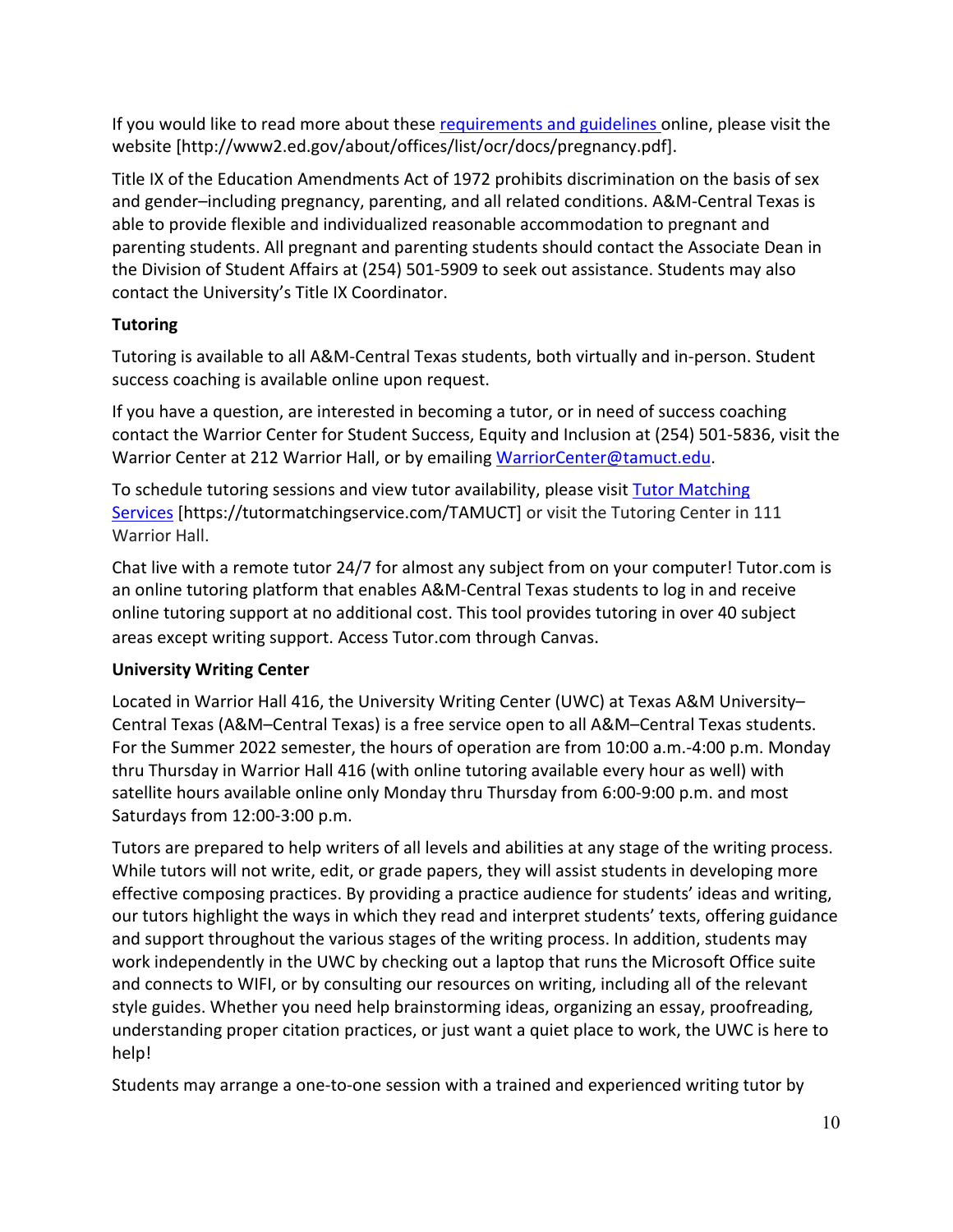If you would like to read more about these requirements and guidelines online, please visit the website [http://www2.ed.gov/about/offices/list/ocr/docs/pregnancy.pdf].

Title IX of the Education Amendments Act of 1972 prohibits discrimination on the basis of sex and gender–including pregnancy, parenting, and all related conditions. A&M-Central Texas is able to provide flexible and individualized reasonable accommodation to pregnant and parenting students. All pregnant and parenting students should contact the Associate Dean in the Division of Student Affairs at (254) 501-5909 to seek out assistance. Students may also contact the University's Title IX Coordinator.

# **Tutoring**

Tutoring is available to all A&M-Central Texas students, both virtually and in-person. Student success coaching is available online upon request.

If you have a question, are interested in becoming a tutor, or in need of success coaching contact the Warrior Center for Student Success, Equity and Inclusion at (254) 501-5836, visit the Warrior Center at 212 Warrior Hall, or by emailing WarriorCenter@tamuct.edu.

To schedule tutoring sessions and view tutor availability, please visit Tutor Matching Services [https://tutormatchingservice.com/TAMUCT] or visit the Tutoring Center in 111 Warrior Hall.

Chat live with a remote tutor 24/7 for almost any subject from on your computer! Tutor.com is an online tutoring platform that enables A&M-Central Texas students to log in and receive online tutoring support at no additional cost. This tool provides tutoring in over 40 subject areas except writing support. Access Tutor.com through Canvas.

## **University Writing Center**

Located in Warrior Hall 416, the University Writing Center (UWC) at Texas A&M University– Central Texas (A&M–Central Texas) is a free service open to all A&M–Central Texas students. For the Summer 2022 semester, the hours of operation are from 10:00 a.m.-4:00 p.m. Monday thru Thursday in Warrior Hall 416 (with online tutoring available every hour as well) with satellite hours available online only Monday thru Thursday from 6:00-9:00 p.m. and most Saturdays from 12:00-3:00 p.m.

Tutors are prepared to help writers of all levels and abilities at any stage of the writing process. While tutors will not write, edit, or grade papers, they will assist students in developing more effective composing practices. By providing a practice audience for students' ideas and writing, our tutors highlight the ways in which they read and interpret students' texts, offering guidance and support throughout the various stages of the writing process. In addition, students may work independently in the UWC by checking out a laptop that runs the Microsoft Office suite and connects to WIFI, or by consulting our resources on writing, including all of the relevant style guides. Whether you need help brainstorming ideas, organizing an essay, proofreading, understanding proper citation practices, or just want a quiet place to work, the UWC is here to help!

Students may arrange a one-to-one session with a trained and experienced writing tutor by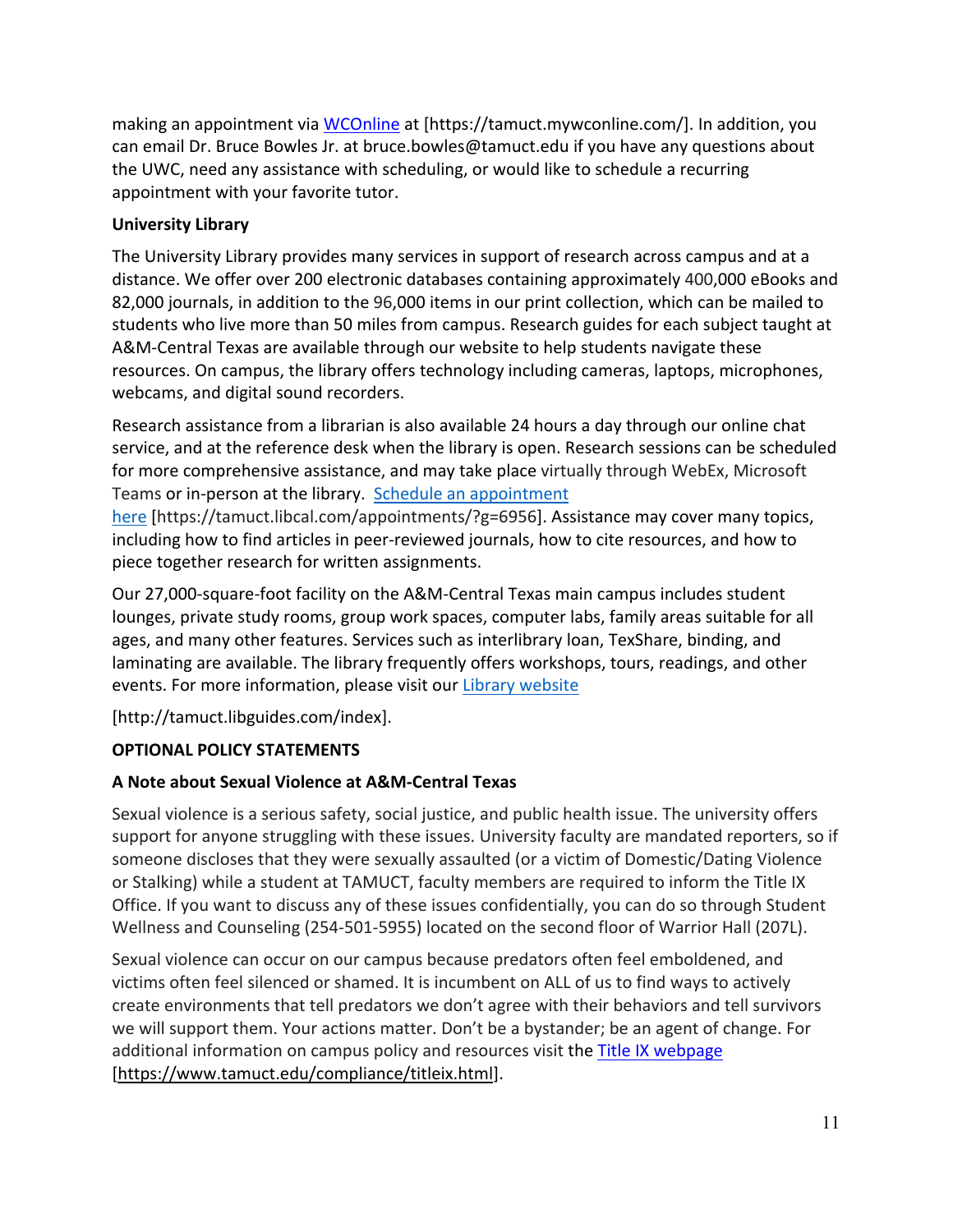making an appointment via WCOnline at [https://tamuct.mywconline.com/]. In addition, you can email Dr. Bruce Bowles Jr. at bruce.bowles@tamuct.edu if you have any questions about the UWC, need any assistance with scheduling, or would like to schedule a recurring appointment with your favorite tutor.

## **University Library**

The University Library provides many services in support of research across campus and at a distance. We offer over 200 electronic databases containing approximately 400,000 eBooks and 82,000 journals, in addition to the 96,000 items in our print collection, which can be mailed to students who live more than 50 miles from campus. Research guides for each subject taught at A&M-Central Texas are available through our website to help students navigate these resources. On campus, the library offers technology including cameras, laptops, microphones, webcams, and digital sound recorders.

Research assistance from a librarian is also available 24 hours a day through our online chat service, and at the reference desk when the library is open. Research sessions can be scheduled for more comprehensive assistance, and may take place virtually through WebEx, Microsoft Teams or in-person at the library. Schedule an appointment

here [https://tamuct.libcal.com/appointments/?g=6956]. Assistance may cover many topics, including how to find articles in peer-reviewed journals, how to cite resources, and how to piece together research for written assignments.

Our 27,000-square-foot facility on the A&M-Central Texas main campus includes student lounges, private study rooms, group work spaces, computer labs, family areas suitable for all ages, and many other features. Services such as interlibrary loan, TexShare, binding, and laminating are available. The library frequently offers workshops, tours, readings, and other events. For more information, please visit our Library website

[http://tamuct.libguides.com/index].

# **OPTIONAL POLICY STATEMENTS**

# **A Note about Sexual Violence at A&M-Central Texas**

Sexual violence is a serious safety, social justice, and public health issue. The university offers support for anyone struggling with these issues. University faculty are mandated reporters, so if someone discloses that they were sexually assaulted (or a victim of Domestic/Dating Violence or Stalking) while a student at TAMUCT, faculty members are required to inform the Title IX Office. If you want to discuss any of these issues confidentially, you can do so through Student Wellness and Counseling (254-501-5955) located on the second floor of Warrior Hall (207L).

Sexual violence can occur on our campus because predators often feel emboldened, and victims often feel silenced or shamed. It is incumbent on ALL of us to find ways to actively create environments that tell predators we don't agree with their behaviors and tell survivors we will support them. Your actions matter. Don't be a bystander; be an agent of change. For additional information on campus policy and resources visit the Title IX webpage [https://www.tamuct.edu/compliance/titleix.html].